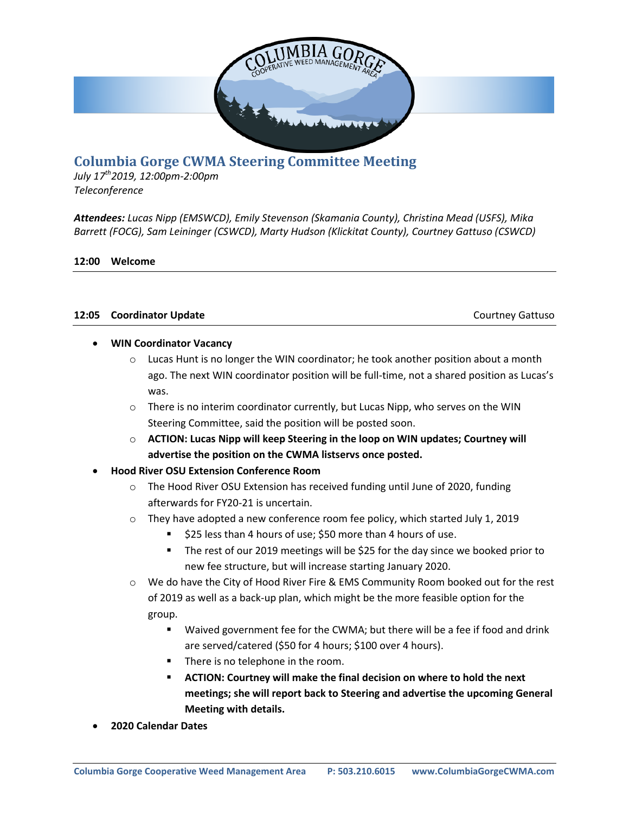

# **Columbia Gorge CWMA Steering Committee Meeting**

*July 17th2019, 12:00pm-2:00pm Teleconference*

*Attendees: Lucas Nipp (EMSWCD), Emily Stevenson (Skamania County), Christina Mead (USFS), Mika Barrett (FOCG), Sam Leininger (CSWCD), Marty Hudson (Klickitat County), Courtney Gattuso (CSWCD)*

## **12:00 Welcome**

## **12:05 Coordinator Update** Courtney Gattuso

## **WIN Coordinator Vacancy**

- $\circ$  Lucas Hunt is no longer the WIN coordinator; he took another position about a month ago. The next WIN coordinator position will be full-time, not a shared position as Lucas's was.
- $\circ$  There is no interim coordinator currently, but Lucas Nipp, who serves on the WIN Steering Committee, said the position will be posted soon.
- o **ACTION: Lucas Nipp will keep Steering in the loop on WIN updates; Courtney will advertise the position on the CWMA listservs once posted.**
- **Hood River OSU Extension Conference Room**
	- $\circ$  The Hood River OSU Extension has received funding until June of 2020, funding afterwards for FY20-21 is uncertain.
	- $\circ$  They have adopted a new conference room fee policy, which started July 1, 2019
		- \$25 less than 4 hours of use; \$50 more than 4 hours of use.
		- The rest of our 2019 meetings will be \$25 for the day since we booked prior to new fee structure, but will increase starting January 2020.
	- o We do have the City of Hood River Fire & EMS Community Room booked out for the rest of 2019 as well as a back-up plan, which might be the more feasible option for the group.
		- Waived government fee for the CWMA; but there will be a fee if food and drink are served/catered (\$50 for 4 hours; \$100 over 4 hours).
		- **There is no telephone in the room.**
		- **ACTION: Courtney will make the final decision on where to hold the next meetings; she will report back to Steering and advertise the upcoming General Meeting with details.**
- **2020 Calendar Dates**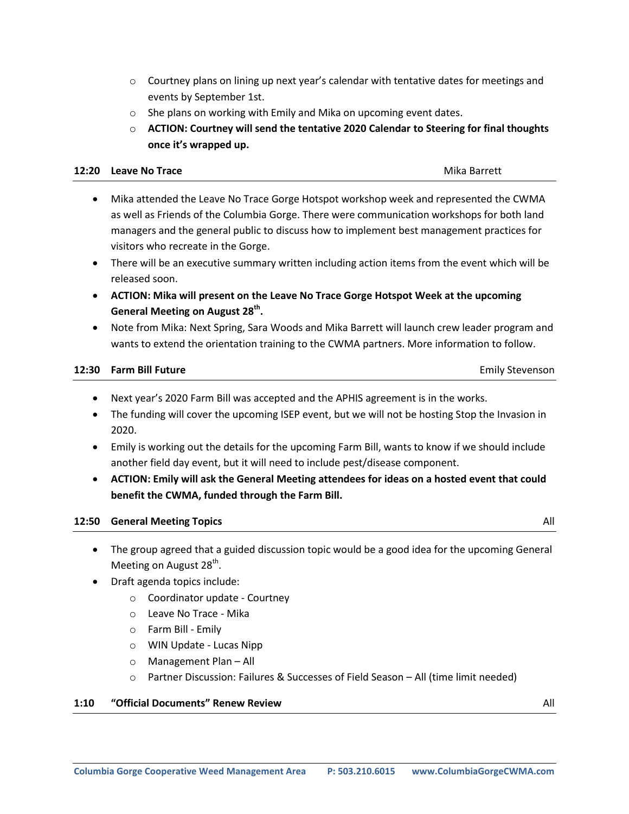- $\circ$  Courtney plans on lining up next year's calendar with tentative dates for meetings and events by September 1st.
- o She plans on working with Emily and Mika on upcoming event dates.
- o **ACTION: Courtney will send the tentative 2020 Calendar to Steering for final thoughts once it's wrapped up.**

#### **12:20 Leave No Trace and Science And Science And Science And Science And Science And Science And Science And Science And Science And Science And Science And Science And Science And Science And Science And Science And Scie**

- Mika attended the Leave No Trace Gorge Hotspot workshop week and represented the CWMA as well as Friends of the Columbia Gorge. There were communication workshops for both land managers and the general public to discuss how to implement best management practices for visitors who recreate in the Gorge.
	- There will be an executive summary written including action items from the event which will be released soon.
	- **ACTION: Mika will present on the Leave No Trace Gorge Hotspot Week at the upcoming General Meeting on August 28th .**
	- Note from Mika: Next Spring, Sara Woods and Mika Barrett will launch crew leader program and wants to extend the orientation training to the CWMA partners. More information to follow.

## **12:30 Farm Bill Future Emily Stevenson**

- Next year's 2020 Farm Bill was accepted and the APHIS agreement is in the works.
- The funding will cover the upcoming ISEP event, but we will not be hosting Stop the Invasion in 2020.
- Emily is working out the details for the upcoming Farm Bill, wants to know if we should include another field day event, but it will need to include pest/disease component.
- **ACTION: Emily will ask the General Meeting attendees for ideas on a hosted event that could benefit the CWMA, funded through the Farm Bill.**

## **12:50 General Meeting Topics** All

- The group agreed that a guided discussion topic would be a good idea for the upcoming General Meeting on August 28<sup>th</sup>.
- Draft agenda topics include:
	- o Coordinator update Courtney
	- o Leave No Trace Mika
	- o Farm Bill Emily
	- o WIN Update Lucas Nipp
	- o Management Plan All
	- o Partner Discussion: Failures & Successes of Field Season All (time limit needed)

## **1:10 "Official Documents" Renew Review** All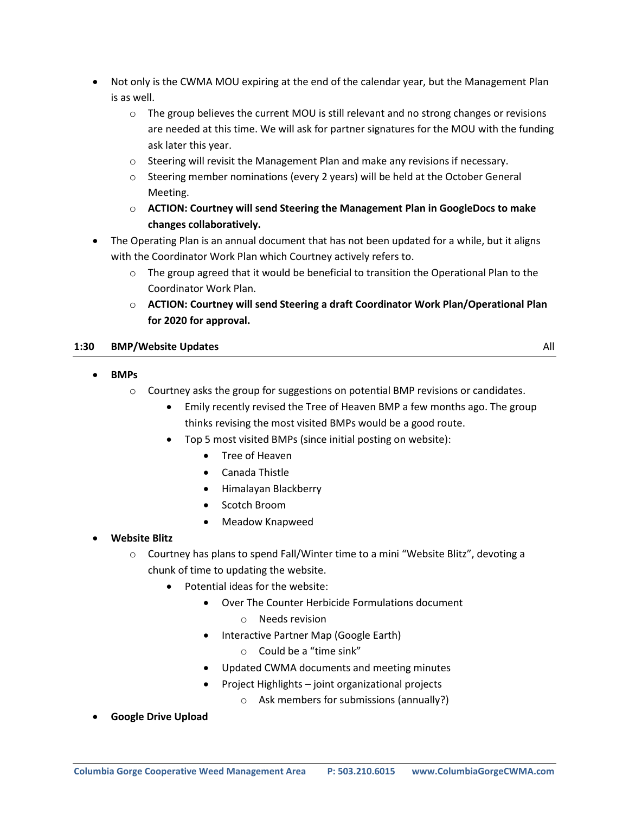- Not only is the CWMA MOU expiring at the end of the calendar year, but the Management Plan is as well.
	- $\circ$  The group believes the current MOU is still relevant and no strong changes or revisions are needed at this time. We will ask for partner signatures for the MOU with the funding ask later this year.
	- $\circ$  Steering will revisit the Management Plan and make any revisions if necessary.
	- $\circ$  Steering member nominations (every 2 years) will be held at the October General Meeting.
	- o **ACTION: Courtney will send Steering the Management Plan in GoogleDocs to make changes collaboratively.**
- The Operating Plan is an annual document that has not been updated for a while, but it aligns with the Coordinator Work Plan which Courtney actively refers to.
	- $\circ$  The group agreed that it would be beneficial to transition the Operational Plan to the Coordinator Work Plan.
	- o **ACTION: Courtney will send Steering a draft Coordinator Work Plan/Operational Plan for 2020 for approval.**

## **1:30 BMP/Website Updates** All

## **BMPs**

- $\circ$  Courtney asks the group for suggestions on potential BMP revisions or candidates.
	- Emily recently revised the Tree of Heaven BMP a few months ago. The group thinks revising the most visited BMPs would be a good route.
	- Top 5 most visited BMPs (since initial posting on website):
		- Tree of Heaven
		- Canada Thistle
		- Himalayan Blackberry
		- Scotch Broom
		- Meadow Knapweed

## **Website Blitz**

- o Courtney has plans to spend Fall/Winter time to a mini "Website Blitz", devoting a chunk of time to updating the website.
	- Potential ideas for the website:
		- Over The Counter Herbicide Formulations document
			- o Needs revision
		- Interactive Partner Map (Google Earth)
			- o Could be a "time sink"
		- Updated CWMA documents and meeting minutes
		- Project Highlights joint organizational projects
			- o Ask members for submissions (annually?)
- **Google Drive Upload**